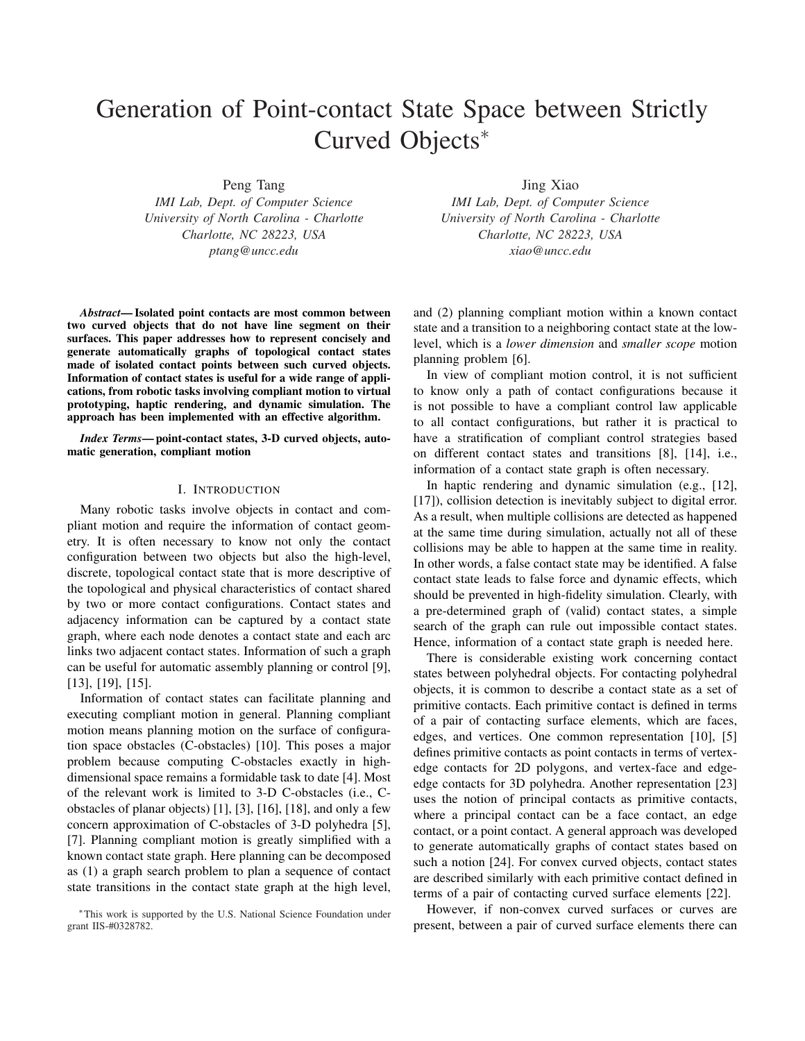# Generation of Point-contact State Space between Strictly Curved Objects<sup>∗</sup>

Peng Tang

*IMI Lab, Dept. of Computer Science University of North Carolina - Charlotte Charlotte, NC 28223, USA ptang@uncc.edu*

*Abstract*— Isolated point contacts are most common between two curved objects that do not have line segment on their surfaces. This paper addresses how to represent concisely and generate automatically graphs of topological contact states made of isolated contact points between such curved objects. Information of contact states is useful for a wide range of applications, from robotic tasks involving compliant motion to virtual prototyping, haptic rendering, and dynamic simulation. The approach has been implemented with an effective algorithm.

*Index Terms*— point-contact states, 3-D curved objects, automatic generation, compliant motion

### I. INTRODUCTION

Many robotic tasks involve objects in contact and compliant motion and require the information of contact geometry. It is often necessary to know not only the contact configuration between two objects but also the high-level, discrete, topological contact state that is more descriptive of the topological and physical characteristics of contact shared by two or more contact configurations. Contact states and adjacency information can be captured by a contact state graph, where each node denotes a contact state and each arc links two adjacent contact states. Information of such a graph can be useful for automatic assembly planning or control [9], [13], [19], [15].

Information of contact states can facilitate planning and executing compliant motion in general. Planning compliant motion means planning motion on the surface of configuration space obstacles (C-obstacles) [10]. This poses a major problem because computing C-obstacles exactly in highdimensional space remains a formidable task to date [4]. Most of the relevant work is limited to 3-D C-obstacles (i.e., Cobstacles of planar objects) [1], [3], [16], [18], and only a few concern approximation of C-obstacles of 3-D polyhedra [5], [7]. Planning compliant motion is greatly simplified with a known contact state graph. Here planning can be decomposed as (1) a graph search problem to plan a sequence of contact state transitions in the contact state graph at the high level,

Jing Xiao

*IMI Lab, Dept. of Computer Science University of North Carolina - Charlotte Charlotte, NC 28223, USA xiao@uncc.edu*

and (2) planning compliant motion within a known contact state and a transition to a neighboring contact state at the lowlevel, which is a *lower dimension* and *smaller scope* motion planning problem [6].

In view of compliant motion control, it is not sufficient to know only a path of contact configurations because it is not possible to have a compliant control law applicable to all contact configurations, but rather it is practical to have a stratification of compliant control strategies based on different contact states and transitions [8], [14], i.e., information of a contact state graph is often necessary.

In haptic rendering and dynamic simulation (e.g., [12], [17]), collision detection is inevitably subject to digital error. As a result, when multiple collisions are detected as happened at the same time during simulation, actually not all of these collisions may be able to happen at the same time in reality. In other words, a false contact state may be identified. A false contact state leads to false force and dynamic effects, which should be prevented in high-fidelity simulation. Clearly, with a pre-determined graph of (valid) contact states, a simple search of the graph can rule out impossible contact states. Hence, information of a contact state graph is needed here.

There is considerable existing work concerning contact states between polyhedral objects. For contacting polyhedral objects, it is common to describe a contact state as a set of primitive contacts. Each primitive contact is defined in terms of a pair of contacting surface elements, which are faces, edges, and vertices. One common representation [10], [5] defines primitive contacts as point contacts in terms of vertexedge contacts for 2D polygons, and vertex-face and edgeedge contacts for 3D polyhedra. Another representation [23] uses the notion of principal contacts as primitive contacts, where a principal contact can be a face contact, an edge contact, or a point contact. A general approach was developed to generate automatically graphs of contact states based on such a notion [24]. For convex curved objects, contact states are described similarly with each primitive contact defined in terms of a pair of contacting curved surface elements [22].

However, if non-convex curved surfaces or curves are present, between a pair of curved surface elements there can

<sup>∗</sup>This work is supported by the U.S. National Science Foundation under grant IIS-#0328782.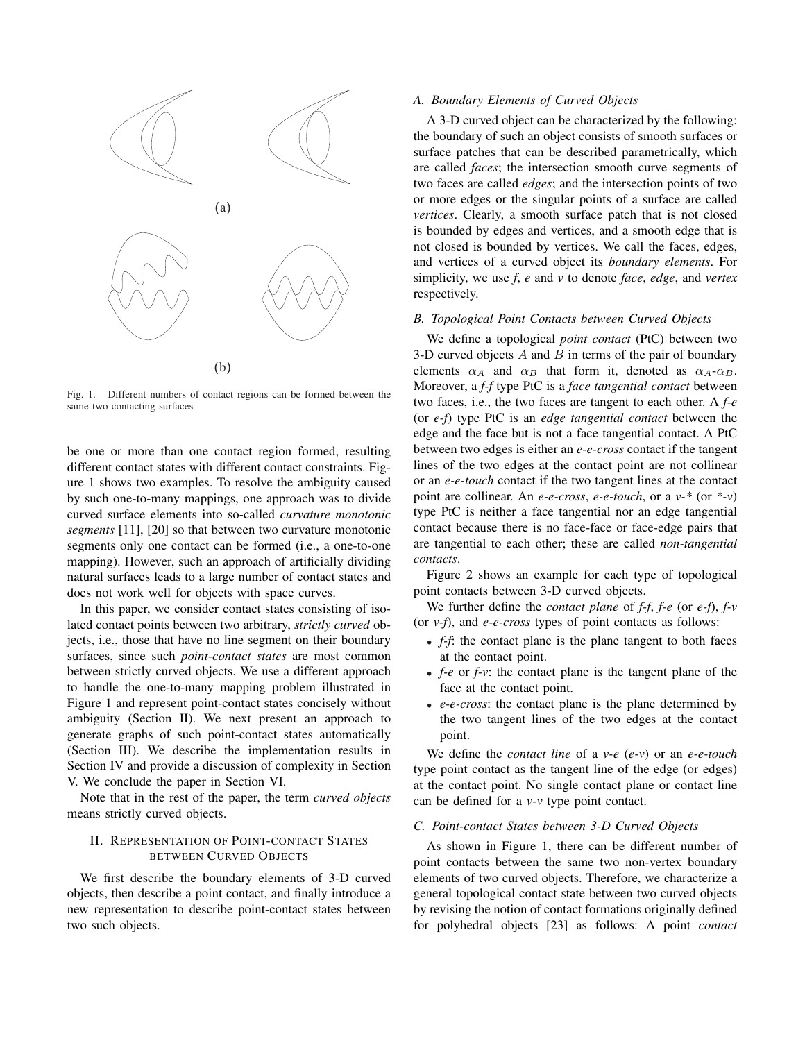

Fig. 1. Different numbers of contact regions can be formed between the same two contacting surfaces

be one or more than one contact region formed, resulting different contact states with different contact constraints. Figure 1 shows two examples. To resolve the ambiguity caused by such one-to-many mappings, one approach was to divide curved surface elements into so-called *curvature monotonic segments* [11], [20] so that between two curvature monotonic segments only one contact can be formed (i.e., a one-to-one mapping). However, such an approach of artificially dividing natural surfaces leads to a large number of contact states and does not work well for objects with space curves.

In this paper, we consider contact states consisting of isolated contact points between two arbitrary, *strictly curved* objects, i.e., those that have no line segment on their boundary surfaces, since such *point-contact states* are most common between strictly curved objects. We use a different approach to handle the one-to-many mapping problem illustrated in Figure 1 and represent point-contact states concisely without ambiguity (Section II). We next present an approach to generate graphs of such point-contact states automatically (Section III). We describe the implementation results in Section IV and provide a discussion of complexity in Section V. We conclude the paper in Section VI.

Note that in the rest of the paper, the term *curved objects* means strictly curved objects.

## II. REPRESENTATION OF POINT-CONTACT STATES BETWEEN CURVED OBJECTS

We first describe the boundary elements of 3-D curved objects, then describe a point contact, and finally introduce a new representation to describe point-contact states between two such objects.

### *A. Boundary Elements of Curved Objects*

A 3-D curved object can be characterized by the following: the boundary of such an object consists of smooth surfaces or surface patches that can be described parametrically, which are called *faces*; the intersection smooth curve segments of two faces are called *edges*; and the intersection points of two or more edges or the singular points of a surface are called *vertices*. Clearly, a smooth surface patch that is not closed is bounded by edges and vertices, and a smooth edge that is not closed is bounded by vertices. We call the faces, edges, and vertices of a curved object its *boundary elements*. For simplicity, we use *f*, *e* and *v* to denote *face*, *edge*, and *vertex* respectively.

#### *B. Topological Point Contacts between Curved Objects*

We define a topological *point contact* (PtC) between two 3-D curved objects  $A$  and  $B$  in terms of the pair of boundary elements  $\alpha_A$  and  $\alpha_B$  that form it, denoted as  $\alpha_A$ - $\alpha_B$ . Moreover, a *f-f* type PtC is a *face tangential contact* between two faces, i.e., the two faces are tangent to each other. A *f-e* (or *e-f*) type PtC is an *edge tangential contact* between the edge and the face but is not a face tangential contact. A PtC between two edges is either an *e-e-cross* contact if the tangent lines of the two edges at the contact point are not collinear or an *e-e-touch* contact if the two tangent lines at the contact point are collinear. An *e-e-cross*, *e-e-touch*, or a *v-\** (or *\*-v*) type PtC is neither a face tangential nor an edge tangential contact because there is no face-face or face-edge pairs that are tangential to each other; these are called *non-tangential contacts*.

Figure 2 shows an example for each type of topological point contacts between 3-D curved objects.

We further define the *contact plane* of *f-f*, *f-e* (or *e-f*), *f-v* (or *v-f*), and *e-e-cross* types of point contacts as follows:

- *f-f*: the contact plane is the plane tangent to both faces at the contact point.
- *f-e* or *f-v*: the contact plane is the tangent plane of the face at the contact point.
- *e-e-cross*: the contact plane is the plane determined by the two tangent lines of the two edges at the contact point.

We define the *contact line* of a *v-e* (*e-v*) or an *e-e-touch* type point contact as the tangent line of the edge (or edges) at the contact point. No single contact plane or contact line can be defined for a *v-v* type point contact.

### *C. Point-contact States between 3-D Curved Objects*

As shown in Figure 1, there can be different number of point contacts between the same two non-vertex boundary elements of two curved objects. Therefore, we characterize a general topological contact state between two curved objects by revising the notion of contact formations originally defined for polyhedral objects [23] as follows: A point *contact*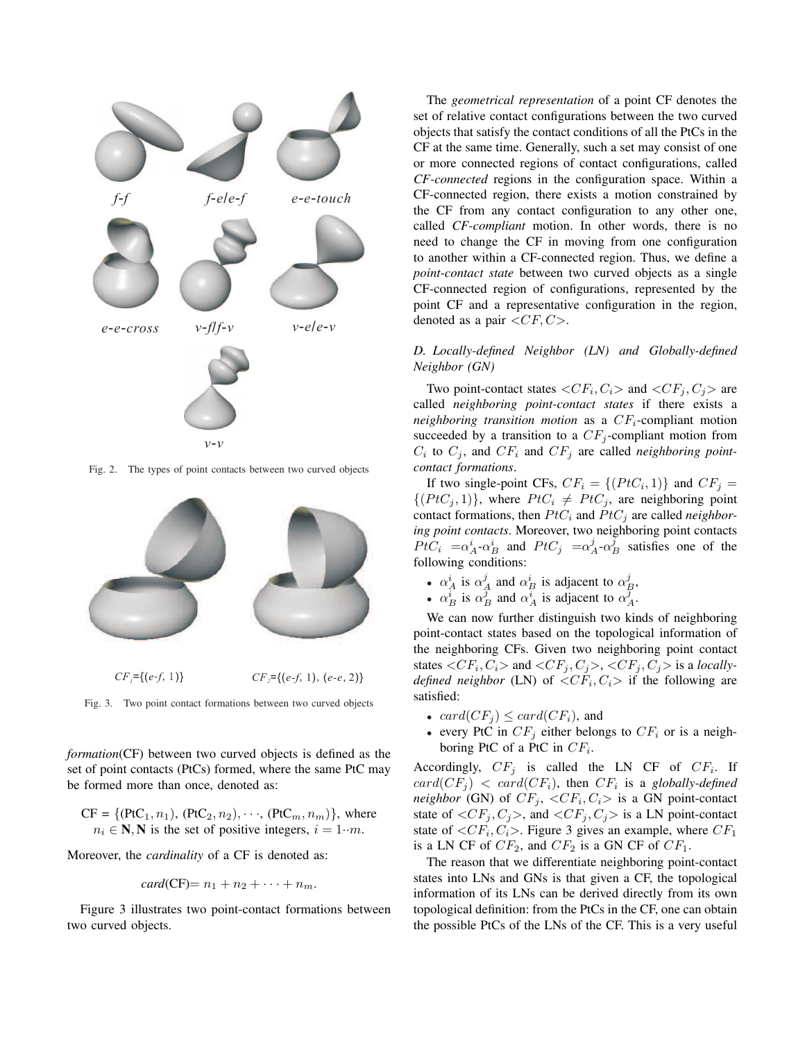

Fig. 2. The types of point contacts between two curved objects



Fig. 3. Two point contact formations between two curved objects

*formation*(CF) between two curved objects is defined as the set of point contacts (PtCs) formed, where the same PtC may be formed more than once, denoted as:

CF = {(PC<sub>1</sub>, n<sub>1</sub>), (PtC<sub>2</sub>, n<sub>2</sub>), 
$$
\cdots
$$
, (PtC<sub>m</sub>, n<sub>m</sub>)}, where  $n_i \in \mathbb{N}, \mathbb{N}$  is the set of positive integers,  $i = 1 \cdots m$ .

Moreover, the *cardinality* of a CF is denoted as:

$$
card(CF)=n_1+n_2+\cdots+n_m.
$$

Figure 3 illustrates two point-contact formations between two curved objects.

The *geometrical representation* of a point CF denotes the set of relative contact configurations between the two curved objects that satisfy the contact conditions of all the PtCs in the CF at the same time. Generally, such a set may consist of one or more connected regions of contact configurations, called *CF-connected* regions in the configuration space. Within a CF-connected region, there exists a motion constrained by the CF from any contact configuration to any other one, called *CF-compliant* motion. In other words, there is no need to change the CF in moving from one configuration to another within a CF-connected region. Thus, we define a *point-contact state* between two curved objects as a single CF-connected region of configurations, represented by the point CF and a representative configuration in the region, denoted as a pair  $\langle CF, C \rangle$ .

## *D. Locally-defined Neighbor (LN) and Globally-defined Neighbor (GN)*

Two point-contact states  $\langle CF_i, C_i \rangle$  and  $\langle CF_j, C_j \rangle$  are called *neighboring point-contact states* if there exists a *neighboring transition motion* as a  $CF_i$ -compliant motion succeeded by a transition to a  $CF_i$ -compliant motion from  $C_i$  to  $C_j$ , and  $CF_i$  and  $CF_j$  are called *neighboring pointcontact formations*.

If two single-point CFs,  $CF_i = \{ (PtC_i, 1) \}$  and  $CF_j =$  $\{(PtC_j, 1)\}\$ , where  $PtC_i \neq PtC_j$ , are neighboring point contact formations, then  $PtC_i$  and  $PtC_j$  are called *neighboring point contacts*. Moreover, two neighboring point contacts  $P \tilde{t} C_i = \alpha_A^i - \alpha_B^i$  and  $P t C_j = \alpha_A^j - \alpha_B^j$  satisfies one of the following conditions:

- $\alpha_A^i$  is  $\alpha_A^j$  and  $\alpha_B^i$  is adjacent to  $\alpha_B^j$ ,
- $\alpha_B^i$  is  $\alpha_B^j$  and  $\alpha_A^i$  is adjacent to  $\alpha_A^j$ .

We can now further distinguish two kinds of neighboring point-contact states based on the topological information of the neighboring CFs. Given two neighboring point contact states  $\langle CF_i, C_i \rangle$  and  $\langle CF_j, C_j \rangle$ ,  $\langle CF_j, C_j \rangle$  is a *locallydefined neighbor* (LN) of  $\langle CF_i, C_i \rangle$  if the following are satisfied:

- $card(CF_i) \leq card(CF_i)$ , and
- every PtC in  $CF_i$  either belongs to  $CF_i$  or is a neighboring PtC of a PtC in  $CF_i$ .

Accordingly,  $CF_j$  is called the LN CF of  $CF_i$ . If  $card(CF_j)$  <  $card(CF_i)$ , then  $CF_i$  is a *globally-defined neighbor* (GN) of  $CF_j$ ,  $\langle CF_i, C_i \rangle$  is a GN point-contact state of  $\langle CF_i, C_j \rangle$ , and  $\langle CF_i, C_j \rangle$  is a LN point-contact state of  $\langle CF_i, C_i \rangle$ . Figure 3 gives an example, where  $CF_1$ is a LN CF of  $CF_2$ , and  $CF_2$  is a GN CF of  $CF_1$ .

The reason that we differentiate neighboring point-contact states into LNs and GNs is that given a CF, the topological information of its LNs can be derived directly from its own topological definition: from the PtCs in the CF, one can obtain the possible PtCs of the LNs of the CF. This is a very useful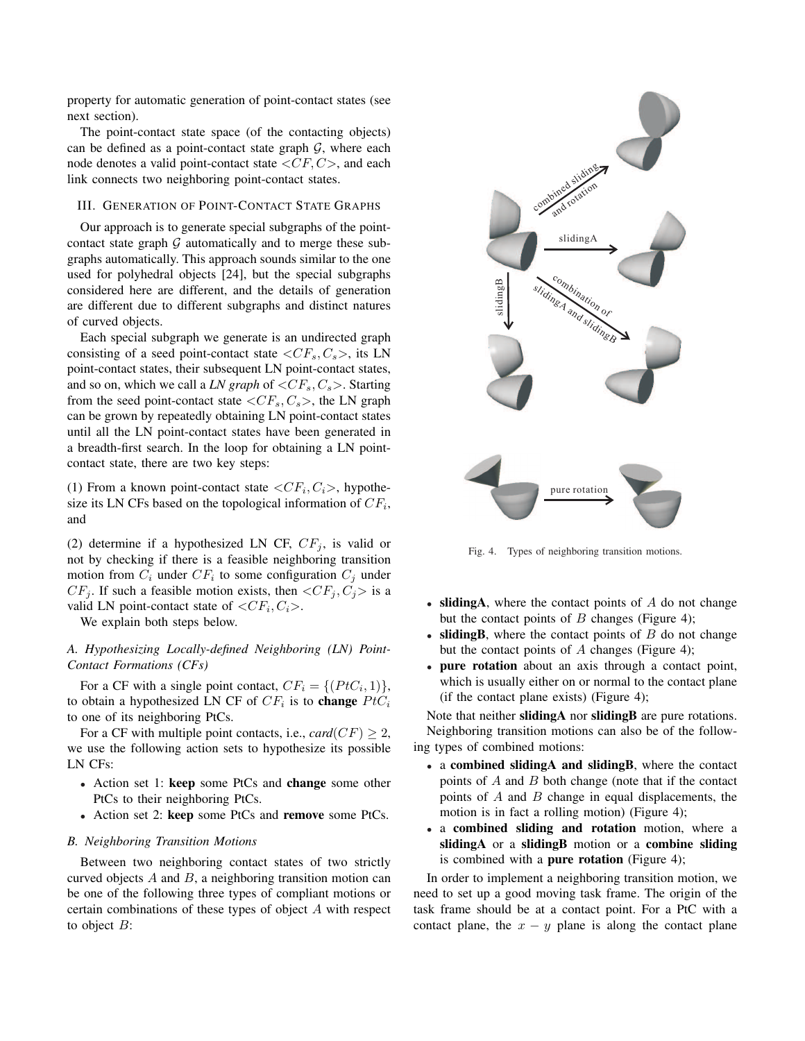property for automatic generation of point-contact states (see next section).

The point-contact state space (of the contacting objects) can be defined as a point-contact state graph  $G$ , where each node denotes a valid point-contact state  $\langle CF, C \rangle$ , and each link connects two neighboring point-contact states.

## III. GENERATION OF POINT-CONTACT STATE GRAPHS

Our approach is to generate special subgraphs of the pointcontact state graph  $G$  automatically and to merge these subgraphs automatically. This approach sounds similar to the one used for polyhedral objects [24], but the special subgraphs considered here are different, and the details of generation are different due to different subgraphs and distinct natures of curved objects.

Each special subgraph we generate is an undirected graph consisting of a seed point-contact state  $\langle CF_s, C_s \rangle$ , its LN point-contact states, their subsequent LN point-contact states, and so on, which we call a *LN graph* of  $\langle CF_s, C_s \rangle$ . Starting from the seed point-contact state  $\langle CF_s, C_s \rangle$ , the LN graph can be grown by repeatedly obtaining LN point-contact states until all the LN point-contact states have been generated in a breadth-first search. In the loop for obtaining a LN pointcontact state, there are two key steps:

(1) From a known point-contact state  $\langle CF_i, C_i \rangle$ , hypothesize its LN CFs based on the topological information of  $CF_i$ , and

(2) determine if a hypothesized LN CF,  $CF_j$ , is valid or not by checking if there is a feasible neighboring transition motion from  $C_i$  under  $CF_i$  to some configuration  $C_j$  under  $CF_j$ . If such a feasible motion exists, then  $\langle CF_j, C_j \rangle$  is a valid LN point-contact state of  $\langle CF_i, C_i \rangle$ .

We explain both steps below.

## *A. Hypothesizing Locally-defined Neighboring (LN) Point-Contact Formations (CFs)*

For a CF with a single point contact,  $CF_i = \{ (PtC_i, 1) \},\$ to obtain a hypothesized LN CF of  $CF_i$  is to **change**  $PtC_i$ to one of its neighboring PtCs.

For a CF with multiple point contacts, i.e.,  $card(CF) > 2$ , we use the following action sets to hypothesize its possible LN CFs:

- Action set 1: keep some PtCs and change some other PtCs to their neighboring PtCs.
- Action set 2: keep some PtCs and remove some PtCs.

#### *B. Neighboring Transition Motions*

Between two neighboring contact states of two strictly curved objects  $A$  and  $B$ , a neighboring transition motion can be one of the following three types of compliant motions or certain combinations of these types of object A with respect to object  $B$ :



Fig. 4. Types of neighboring transition motions.

- sliding A, where the contact points of  $A$  do not change but the contact points of  $B$  changes (Figure 4);
- sliding B, where the contact points of  $B$  do not change but the contact points of  $A$  changes (Figure 4);
- pure rotation about an axis through a contact point, which is usually either on or normal to the contact plane (if the contact plane exists) (Figure 4);

Note that neither **slidingA** nor **slidingB** are pure rotations. Neighboring transition motions can also be of the following types of combined motions:

- a combined slidingA and slidingB, where the contact points of  $A$  and  $B$  both change (note that if the contact points of  $A$  and  $B$  change in equal displacements, the motion is in fact a rolling motion) (Figure 4);
- a combined sliding and rotation motion, where a slidingA or a slidingB motion or a combine sliding is combined with a **pure rotation** (Figure 4);

In order to implement a neighboring transition motion, we need to set up a good moving task frame. The origin of the task frame should be at a contact point. For a PtC with a contact plane, the  $x - y$  plane is along the contact plane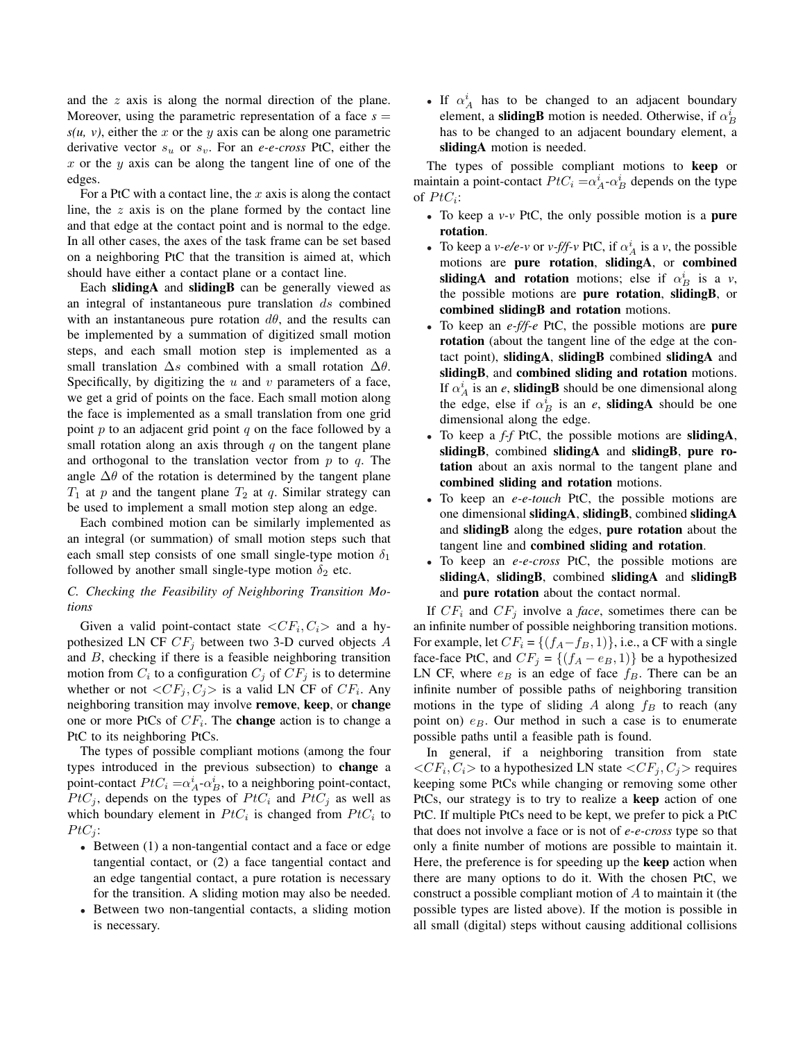and the z axis is along the normal direction of the plane. Moreover, using the parametric representation of a face  $s =$  $s(u, v)$ , either the x or the y axis can be along one parametric derivative vector  $s_u$  or  $s_v$ . For an *e-e-cross* PtC, either the  $x$  or the  $y$  axis can be along the tangent line of one of the edges.

For a PtC with a contact line, the  $x$  axis is along the contact line, the  $z$  axis is on the plane formed by the contact line and that edge at the contact point and is normal to the edge. In all other cases, the axes of the task frame can be set based on a neighboring PtC that the transition is aimed at, which should have either a contact plane or a contact line.

Each slidingA and slidingB can be generally viewed as an integral of instantaneous pure translation  $ds$  combined with an instantaneous pure rotation  $d\theta$ , and the results can be implemented by a summation of digitized small motion steps, and each small motion step is implemented as a small translation  $\Delta s$  combined with a small rotation  $\Delta \theta$ . Specifically, by digitizing the  $u$  and  $v$  parameters of a face, we get a grid of points on the face. Each small motion along the face is implemented as a small translation from one grid point p to an adjacent grid point q on the face followed by a small rotation along an axis through  $q$  on the tangent plane and orthogonal to the translation vector from  $p$  to  $q$ . The angle  $\Delta\theta$  of the rotation is determined by the tangent plane  $T_1$  at p and the tangent plane  $T_2$  at q. Similar strategy can be used to implement a small motion step along an edge.

Each combined motion can be similarly implemented as an integral (or summation) of small motion steps such that each small step consists of one small single-type motion  $\delta_1$ followed by another small single-type motion  $\delta_2$  etc.

# *C. Checking the Feasibility of Neighboring Transition Motions*

Given a valid point-contact state  $\langle CF_i, C_i \rangle$  and a hypothesized LN CF  $CF_j$  between two 3-D curved objects A and  $B$ , checking if there is a feasible neighboring transition motion from  $C_i$  to a configuration  $C_j$  of  $CF_j$  is to determine whether or not  $\langle CF_j, C_j \rangle$  is a valid LN CF of  $CF_i$ . Any neighboring transition may involve remove, keep, or change one or more PtCs of  $CF_i$ . The **change** action is to change a PtC to its neighboring PtCs.

The types of possible compliant motions (among the four types introduced in the previous subsection) to change a point-contact  $PtC_i = \alpha_A^i - \alpha_B^i$ , to a neighboring point-contact,  $PtC_i$ , depends on the types of  $PtC_i$  and  $PtC_j$  as well as which boundary element in  $PtC_i$  is changed from  $PtC_i$  to  $PtC_i$ :

- Between (1) a non-tangential contact and a face or edge tangential contact, or (2) a face tangential contact and an edge tangential contact, a pure rotation is necessary for the transition. A sliding motion may also be needed.
- Between two non-tangential contacts, a sliding motion is necessary.

• If  $\alpha_A^i$  has to be changed to an adjacent boundary element, a **slidingB** motion is needed. Otherwise, if  $\alpha_B^i$ has to be changed to an adjacent boundary element, a sliding A motion is needed.

The types of possible compliant motions to keep or maintain a point-contact  $PtC_i = \alpha_A^i - \alpha_B^i$  depends on the type of  $PtC_i$ :

- To keep a *v-v* PtC, the only possible motion is a pure rotation.
- To keep a *v*-e/e-*v* or *v*-f/f-*v* PtC, if  $\alpha_A^i$  is a *v*, the possible motions are pure rotation, slidingA, or combined sliding A and rotation motions; else if  $\alpha_B^i$  is a *v*, the possible motions are pure rotation, slidingB, or combined slidingB and rotation motions.
- To keep an *e-f/f-e* PtC, the possible motions are pure rotation (about the tangent line of the edge at the contact point), slidingA, slidingB combined slidingA and slidingB, and combined sliding and rotation motions. If  $\alpha_A^i$  is an *e*, **slidingB** should be one dimensional along the edge, else if  $\alpha_B^i$  is an *e*, **slidingA** should be one dimensional along the edge.
- To keep a *f-f* PtC, the possible motions are slidingA, slidingB, combined slidingA and slidingB, pure rotation about an axis normal to the tangent plane and combined sliding and rotation motions.
- To keep an *e-e-touch* PtC, the possible motions are one dimensional slidingA, slidingB, combined slidingA and slidingB along the edges, pure rotation about the tangent line and combined sliding and rotation.
- To keep an *e-e-cross* PtC, the possible motions are slidingA, slidingB, combined slidingA and slidingB and pure rotation about the contact normal.

If  $CF_i$  and  $CF_j$  involve a *face*, sometimes there can be an infinite number of possible neighboring transition motions. For example, let  $CF_i = \{(f_A - f_B, 1)\}\)$ , i.e., a CF with a single face-face PtC, and  $CF_j = \{(f_A - e_B, 1)\}\)$  be a hypothesized LN CF, where  $e_B$  is an edge of face  $f_B$ . There can be an infinite number of possible paths of neighboring transition motions in the type of sliding A along  $f_B$  to reach (any point on)  $e_B$ . Our method in such a case is to enumerate possible paths until a feasible path is found.

In general, if a neighboring transition from state  $\langle CF_i, C_i \rangle$  to a hypothesized LN state  $\langle CF_j, C_j \rangle$  requires keeping some PtCs while changing or removing some other PtCs, our strategy is to try to realize a keep action of one PtC. If multiple PtCs need to be kept, we prefer to pick a PtC that does not involve a face or is not of *e-e-cross* type so that only a finite number of motions are possible to maintain it. Here, the preference is for speeding up the keep action when there are many options to do it. With the chosen PtC, we construct a possible compliant motion of A to maintain it (the possible types are listed above). If the motion is possible in all small (digital) steps without causing additional collisions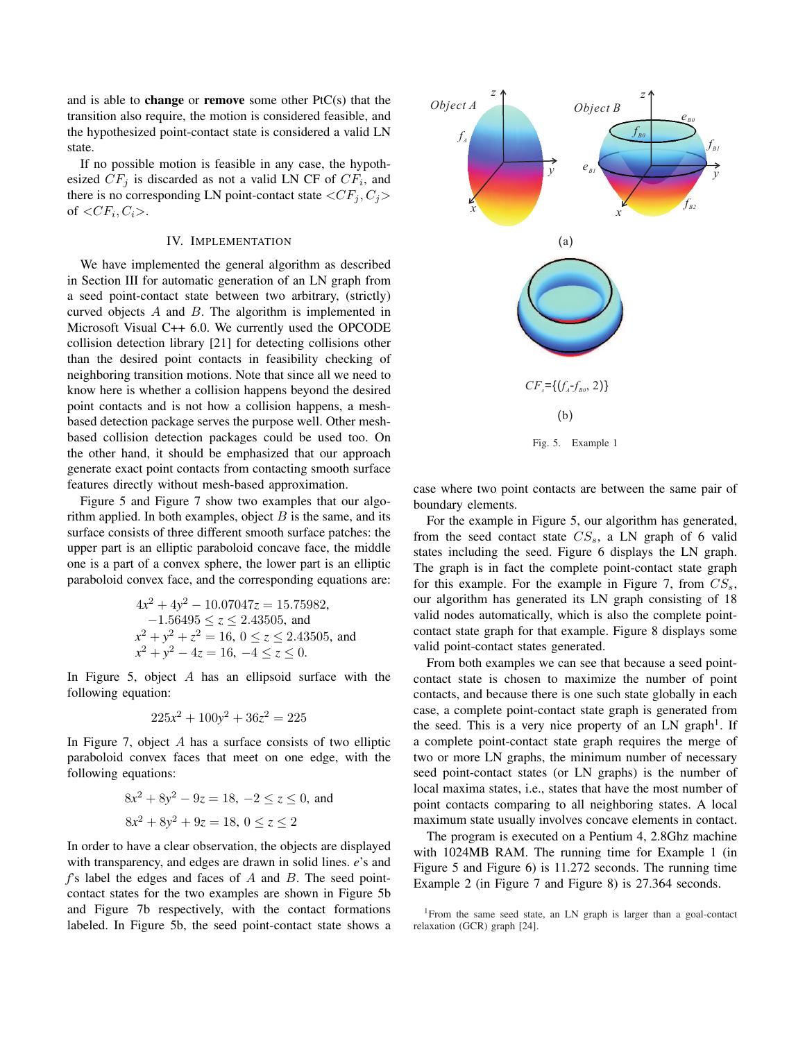and is able to **change** or **remove** some other  $PtC(s)$  that the transition also require, the motion is considered feasible, and the hypothesized point-contact state is considered a valid LN state.

If no possible motion is feasible in any case, the hypothesized  $CF_j$  is discarded as not a valid LN CF of  $CF_i$ , and there is no corresponding LN point-contact state  $\langle CF_i, C_j \rangle$ of  $\langle CF_i, C_i \rangle$ .

## IV. IMPLEMENTATION

We have implemented the general algorithm as described in Section III for automatic generation of an LN graph from a seed point-contact state between two arbitrary, (strictly) curved objects A and B. The algorithm is implemented in Microsoft Visual C++ 6.0. We currently used the OPCODE collision detection library [21] for detecting collisions other than the desired point contacts in feasibility checking of neighboring transition motions. Note that since all we need to know here is whether a collision happens beyond the desired point contacts and is not how a collision happens, a meshbased detection package serves the purpose well. Other meshbased collision detection packages could be used too. On the other hand, it should be emphasized that our approach generate exact point contacts from contacting smooth surface features directly without mesh-based approximation.

Figure 5 and Figure 7 show two examples that our algorithm applied. In both examples, object  $B$  is the same, and its surface consists of three different smooth surface patches: the upper part is an elliptic paraboloid concave face, the middle one is a part of a convex sphere, the lower part is an elliptic paraboloid convex face, and the corresponding equations are:

$$
4x2 + 4y2 - 10.07047z = 15.75982,
$$
  
-1.56495 \le z \le 2.43505, and  

$$
x2 + y2 + z2 = 16, 0 \le z \le 2.43505, and
$$

$$
x2 + y2 - 4z = 16, -4 \le z \le 0.
$$

In Figure 5, object A has an ellipsoid surface with the following equation:

$$
225x^2 + 100y^2 + 36z^2 = 225
$$

In Figure 7, object A has a surface consists of two elliptic paraboloid convex faces that meet on one edge, with the following equations:

$$
8x2 + 8y2 - 9z = 18, -2 \le z \le 0, \text{ and}
$$
  

$$
8x2 + 8y2 + 9z = 18, 0 \le z \le 2
$$

In order to have a clear observation, the objects are displayed with transparency, and edges are drawn in solid lines. *e*'s and *f*'s label the edges and faces of A and B. The seed pointcontact states for the two examples are shown in Figure 5b and Figure 7b respectively, with the contact formations labeled. In Figure 5b, the seed point-contact state shows a



case where two point contacts are between the same pair of boundary elements.

For the example in Figure 5, our algorithm has generated, from the seed contact state  $CS_s$ , a LN graph of 6 valid states including the seed. Figure 6 displays the LN graph. The graph is in fact the complete point-contact state graph for this example. For the example in Figure 7, from  $CS_s$ , our algorithm has generated its LN graph consisting of 18 valid nodes automatically, which is also the complete pointcontact state graph for that example. Figure 8 displays some valid point-contact states generated.

From both examples we can see that because a seed pointcontact state is chosen to maximize the number of point contacts, and because there is one such state globally in each case, a complete point-contact state graph is generated from the seed. This is a very nice property of an LN graph<sup>1</sup>. If a complete point-contact state graph requires the merge of two or more LN graphs, the minimum number of necessary seed point-contact states (or LN graphs) is the number of local maxima states, i.e., states that have the most number of point contacts comparing to all neighboring states. A local maximum state usually involves concave elements in contact.

The program is executed on a Pentium 4, 2.8Ghz machine with 1024MB RAM. The running time for Example 1 (in Figure 5 and Figure 6) is 11.272 seconds. The running time Example 2 (in Figure 7 and Figure 8) is 27.364 seconds.

<sup>&</sup>lt;sup>1</sup>From the same seed state, an LN graph is larger than a goal-contact relaxation (GCR) graph [24].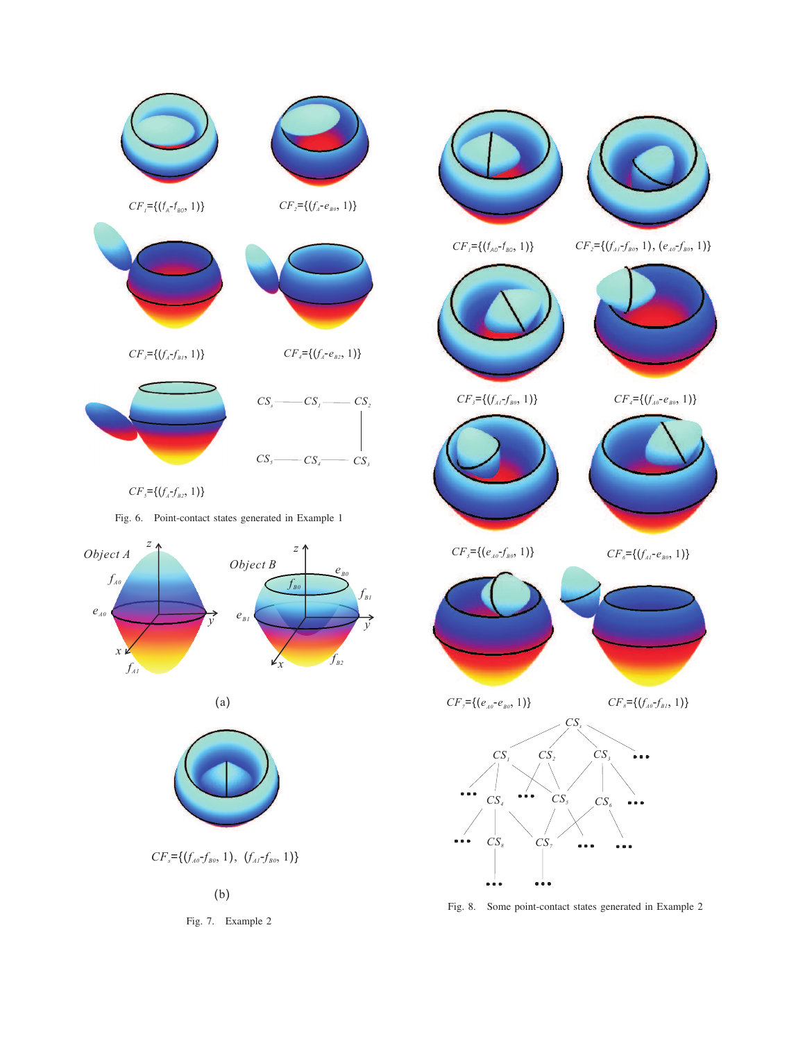